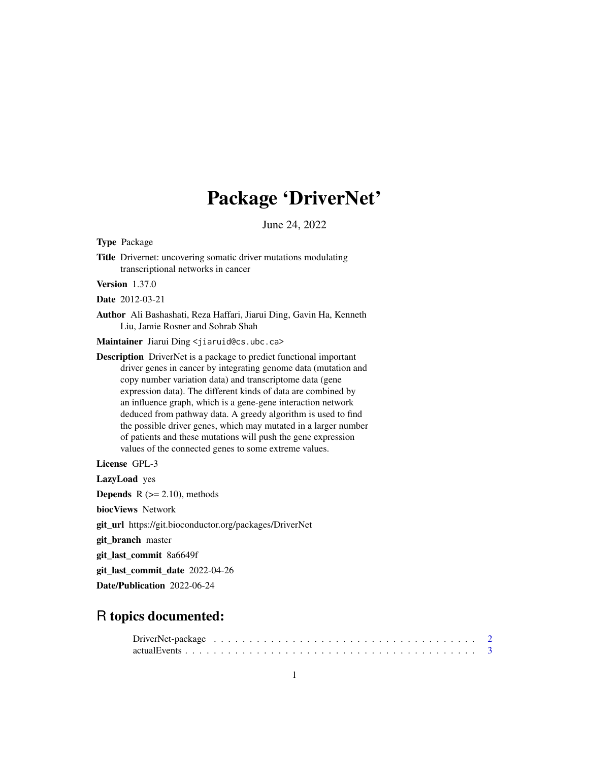# Package 'DriverNet'

June 24, 2022

Type Package

Title Drivernet: uncovering somatic driver mutations modulating transcriptional networks in cancer

Version 1.37.0

Date 2012-03-21

Author Ali Bashashati, Reza Haffari, Jiarui Ding, Gavin Ha, Kenneth Liu, Jamie Rosner and Sohrab Shah

Maintainer Jiarui Ding <jiaruid@cs.ubc.ca>

Description DriverNet is a package to predict functional important driver genes in cancer by integrating genome data (mutation and copy number variation data) and transcriptome data (gene expression data). The different kinds of data are combined by an influence graph, which is a gene-gene interaction network deduced from pathway data. A greedy algorithm is used to find the possible driver genes, which may mutated in a larger number of patients and these mutations will push the gene expression values of the connected genes to some extreme values.

License GPL-3

LazyLoad yes

**Depends**  $R$  ( $>= 2.10$ ), methods

biocViews Network

git\_url https://git.bioconductor.org/packages/DriverNet

git\_branch master

git\_last\_commit 8a6649f

git\_last\_commit\_date 2022-04-26

Date/Publication 2022-06-24

# R topics documented: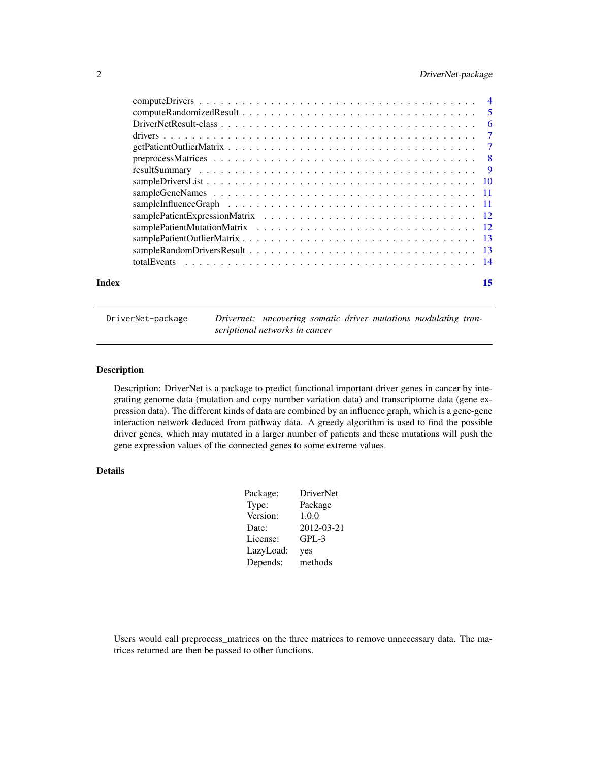# <span id="page-1-0"></span>2 DriverNet-package

| Index | 15 |
|-------|----|
|       |    |
|       |    |
|       |    |
|       |    |
|       |    |
|       |    |
|       |    |
|       |    |
|       |    |
|       |    |
|       |    |
|       |    |
|       |    |
|       |    |
|       |    |

DriverNet-package *Drivernet: uncovering somatic driver mutations modulating transcriptional networks in cancer*

# Description

Description: DriverNet is a package to predict functional important driver genes in cancer by integrating genome data (mutation and copy number variation data) and transcriptome data (gene expression data). The different kinds of data are combined by an influence graph, which is a gene-gene interaction network deduced from pathway data. A greedy algorithm is used to find the possible driver genes, which may mutated in a larger number of patients and these mutations will push the gene expression values of the connected genes to some extreme values.

# Details

| Package:  | <b>DriverNet</b> |
|-----------|------------------|
| Type:     | Package          |
| Version:  | 1.0.0            |
| Date:     | 2012-03-21       |
| License:  | $GPL-3$          |
| LazyLoad: | yes              |
| Depends:  | methods          |

Users would call preprocess\_matrices on the three matrices to remove unnecessary data. The matrices returned are then be passed to other functions.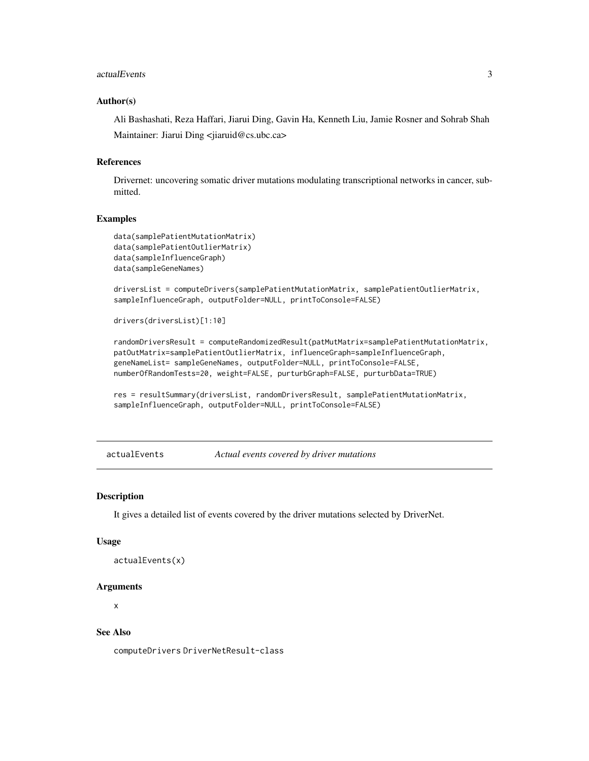#### <span id="page-2-0"></span>actualEvents 3

#### Author(s)

Ali Bashashati, Reza Haffari, Jiarui Ding, Gavin Ha, Kenneth Liu, Jamie Rosner and Sohrab Shah Maintainer: Jiarui Ding <jiaruid@cs.ubc.ca>

#### References

Drivernet: uncovering somatic driver mutations modulating transcriptional networks in cancer, submitted.

## **Examples**

```
data(samplePatientMutationMatrix)
data(samplePatientOutlierMatrix)
data(sampleInfluenceGraph)
data(sampleGeneNames)
```
driversList = computeDrivers(samplePatientMutationMatrix, samplePatientOutlierMatrix, sampleInfluenceGraph, outputFolder=NULL, printToConsole=FALSE)

```
drivers(driversList)[1:10]
```
randomDriversResult = computeRandomizedResult(patMutMatrix=samplePatientMutationMatrix, patOutMatrix=samplePatientOutlierMatrix, influenceGraph=sampleInfluenceGraph, geneNameList= sampleGeneNames, outputFolder=NULL, printToConsole=FALSE, numberOfRandomTests=20, weight=FALSE, purturbGraph=FALSE, purturbData=TRUE)

res = resultSummary(driversList, randomDriversResult, samplePatientMutationMatrix, sampleInfluenceGraph, outputFolder=NULL, printToConsole=FALSE)

actualEvents *Actual events covered by driver mutations*

#### **Description**

It gives a detailed list of events covered by the driver mutations selected by DriverNet.

#### Usage

```
actualEvents(x)
```
#### Arguments

x

# See Also

computeDrivers DriverNetResult-class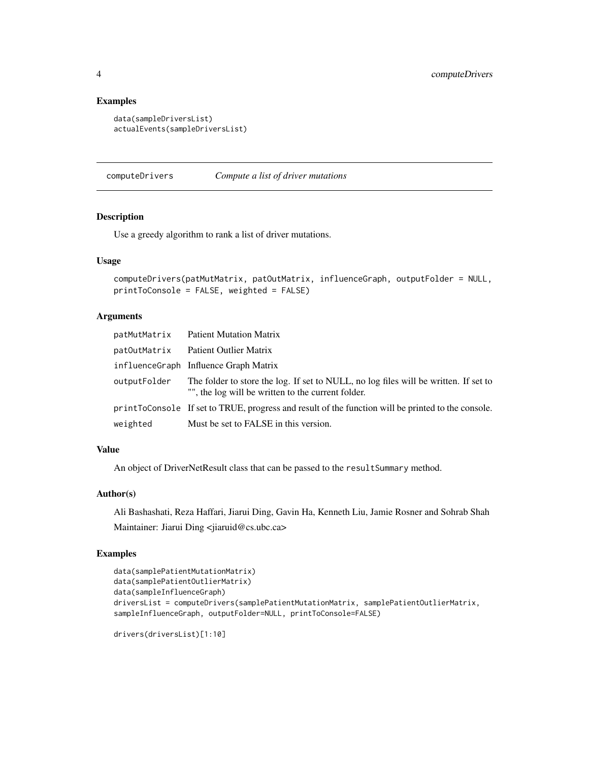# Examples

```
data(sampleDriversList)
actualEvents(sampleDriversList)
```
<span id="page-3-1"></span>computeDrivers *Compute a list of driver mutations*

# Description

Use a greedy algorithm to rank a list of driver mutations.

#### Usage

```
computeDrivers(patMutMatrix, patOutMatrix, influenceGraph, outputFolder = NULL,
printToConsole = FALSE, weighted = FALSE)
```
# Arguments

|              | patMutMatrix Patient Mutation Matrix                                                                                                       |
|--------------|--------------------------------------------------------------------------------------------------------------------------------------------|
| patOutMatrix | Patient Outlier Matrix                                                                                                                     |
|              | influenceGraph Influence Graph Matrix                                                                                                      |
| outputFolder | The folder to store the log. If set to NULL, no log files will be written. If set to<br>"", the log will be written to the current folder. |
|              | print ToConsole If set to TRUE, progress and result of the function will be printed to the console.                                        |
| weighted     | Must be set to FALSE in this version.                                                                                                      |

# Value

An object of DriverNetResult class that can be passed to the resultSummary method.

#### Author(s)

Ali Bashashati, Reza Haffari, Jiarui Ding, Gavin Ha, Kenneth Liu, Jamie Rosner and Sohrab Shah Maintainer: Jiarui Ding <jiaruid@cs.ubc.ca>

#### Examples

```
data(samplePatientMutationMatrix)
data(samplePatientOutlierMatrix)
data(sampleInfluenceGraph)
driversList = computeDrivers(samplePatientMutationMatrix, samplePatientOutlierMatrix,
sampleInfluenceGraph, outputFolder=NULL, printToConsole=FALSE)
```
drivers(driversList)[1:10]

<span id="page-3-0"></span>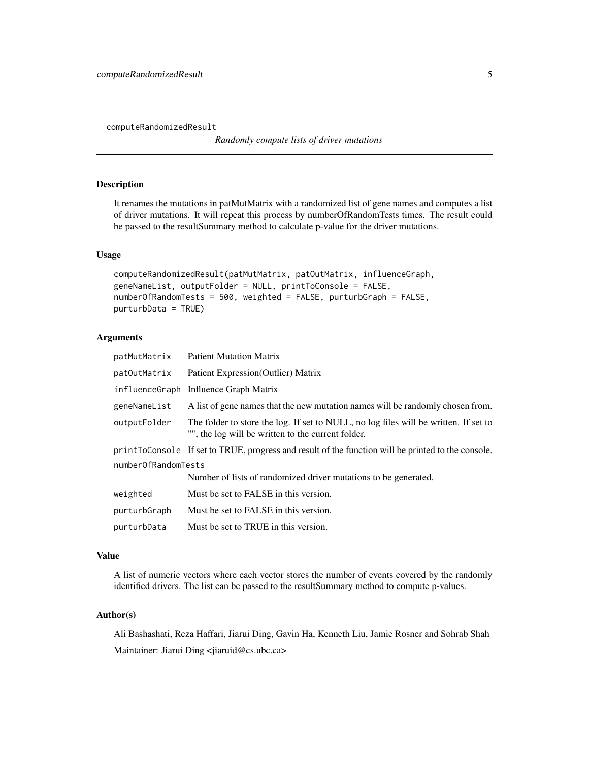<span id="page-4-0"></span>computeRandomizedResult

*Randomly compute lists of driver mutations*

# Description

It renames the mutations in patMutMatrix with a randomized list of gene names and computes a list of driver mutations. It will repeat this process by numberOfRandomTests times. The result could be passed to the resultSummary method to calculate p-value for the driver mutations.

# Usage

```
computeRandomizedResult(patMutMatrix, patOutMatrix, influenceGraph,
geneNameList, outputFolder = NULL, printToConsole = FALSE,
numberOfRandomTests = 500, weighted = FALSE, purturbGraph = FALSE,
purturbData = TRUE)
```
#### Arguments

| patMutMatrix        | <b>Patient Mutation Matrix</b>                                                                                                             |  |  |  |  |
|---------------------|--------------------------------------------------------------------------------------------------------------------------------------------|--|--|--|--|
| patOutMatrix        | Patient Expression (Outlier) Matrix                                                                                                        |  |  |  |  |
|                     | influenceGraph Influence Graph Matrix                                                                                                      |  |  |  |  |
| geneNameList        | A list of gene names that the new mutation names will be randomly chosen from.                                                             |  |  |  |  |
| outputFolder        | The folder to store the log. If set to NULL, no log files will be written. If set to<br>"", the log will be written to the current folder. |  |  |  |  |
|                     | printToConsole If set to TRUE, progress and result of the function will be printed to the console.                                         |  |  |  |  |
| numberOfRandomTests |                                                                                                                                            |  |  |  |  |
|                     | Number of lists of randomized driver mutations to be generated.                                                                            |  |  |  |  |
| weighted            | Must be set to FALSE in this version.                                                                                                      |  |  |  |  |
| purturbGraph        | Must be set to FALSE in this version.                                                                                                      |  |  |  |  |
| purturbData         | Must be set to TRUE in this version.                                                                                                       |  |  |  |  |

#### Value

A list of numeric vectors where each vector stores the number of events covered by the randomly identified drivers. The list can be passed to the resultSummary method to compute p-values.

# Author(s)

Ali Bashashati, Reza Haffari, Jiarui Ding, Gavin Ha, Kenneth Liu, Jamie Rosner and Sohrab Shah Maintainer: Jiarui Ding <jiaruid@cs.ubc.ca>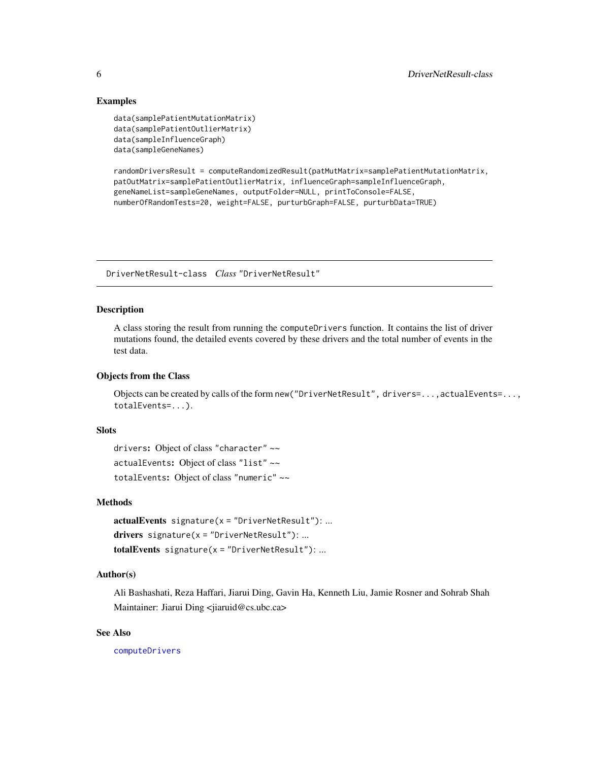# <span id="page-5-0"></span>Examples

```
data(samplePatientMutationMatrix)
data(samplePatientOutlierMatrix)
data(sampleInfluenceGraph)
data(sampleGeneNames)
```
randomDriversResult = computeRandomizedResult(patMutMatrix=samplePatientMutationMatrix, patOutMatrix=samplePatientOutlierMatrix, influenceGraph=sampleInfluenceGraph, geneNameList=sampleGeneNames, outputFolder=NULL, printToConsole=FALSE, numberOfRandomTests=20, weight=FALSE, purturbGraph=FALSE, purturbData=TRUE)

DriverNetResult-class *Class* "DriverNetResult"

# Description

A class storing the result from running the computeDrivers function. It contains the list of driver mutations found, the detailed events covered by these drivers and the total number of events in the test data.

# Objects from the Class

Objects can be created by calls of the form new("DriverNetResult", drivers=...,actualEvents=..., totalEvents=...).

#### Slots

drivers: Object of class "character" ~~ actualEvents: Object of class "list" ~~ totalEvents: Object of class "numeric" ~~

#### Methods

 $actualEvents$  signature( $x = "DriverNetResult")$ : ... drivers signature( $x =$ "DriverNetResult"): ...  $totalEvents$  signature( $x = "DriverNetResult")$ : ...

## Author(s)

Ali Bashashati, Reza Haffari, Jiarui Ding, Gavin Ha, Kenneth Liu, Jamie Rosner and Sohrab Shah Maintainer: Jiarui Ding <jiaruid@cs.ubc.ca>

#### See Also

[computeDrivers](#page-3-1)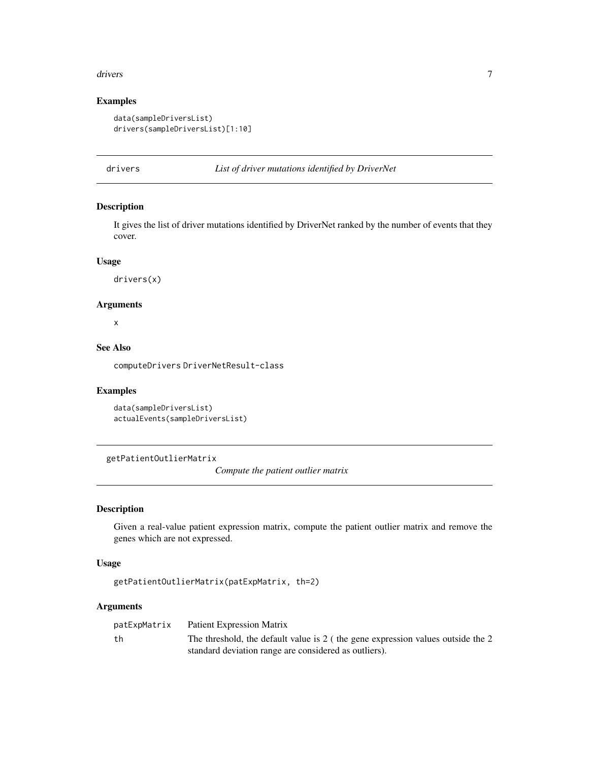#### <span id="page-6-0"></span>drivers **7**

# Examples

```
data(sampleDriversList)
drivers(sampleDriversList)[1:10]
```
drivers *List of driver mutations identified by DriverNet*

# Description

It gives the list of driver mutations identified by DriverNet ranked by the number of events that they cover.

#### Usage

drivers(x)

#### Arguments

x

# See Also

computeDrivers DriverNetResult-class

# Examples

```
data(sampleDriversList)
actualEvents(sampleDriversList)
```
getPatientOutlierMatrix

*Compute the patient outlier matrix*

# Description

Given a real-value patient expression matrix, compute the patient outlier matrix and remove the genes which are not expressed.

#### Usage

```
getPatientOutlierMatrix(patExpMatrix, th=2)
```
#### Arguments

| patExpMatrix | Patient Expression Matrix                                                         |
|--------------|-----------------------------------------------------------------------------------|
| th           | The threshold, the default value is $2$ (the gene expression values outside the 2 |
|              | standard deviation range are considered as outliers).                             |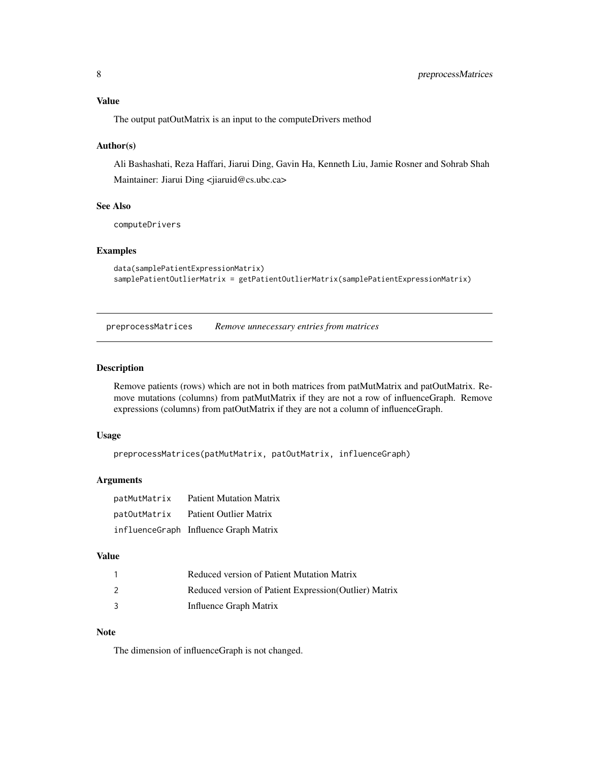# <span id="page-7-0"></span>Value

The output patOutMatrix is an input to the computeDrivers method

#### Author(s)

Ali Bashashati, Reza Haffari, Jiarui Ding, Gavin Ha, Kenneth Liu, Jamie Rosner and Sohrab Shah Maintainer: Jiarui Ding <jiaruid@cs.ubc.ca>

# See Also

computeDrivers

#### Examples

```
data(samplePatientExpressionMatrix)
samplePatientOutlierMatrix = getPatientOutlierMatrix(samplePatientExpressionMatrix)
```
preprocessMatrices *Remove unnecessary entries from matrices*

#### Description

Remove patients (rows) which are not in both matrices from patMutMatrix and patOutMatrix. Remove mutations (columns) from patMutMatrix if they are not a row of influenceGraph. Remove expressions (columns) from patOutMatrix if they are not a column of influenceGraph.

#### Usage

```
preprocessMatrices(patMutMatrix, patOutMatrix, influenceGraph)
```
## Arguments

| patMutMatrix | <b>Patient Mutation Matrix</b>        |
|--------------|---------------------------------------|
| patOutMatrix | <b>Patient Outlier Matrix</b>         |
|              | influenceGraph Influence Graph Matrix |

# Value

| Reduced version of Patient Mutation Matrix             |
|--------------------------------------------------------|
| Reduced version of Patient Expression (Outlier) Matrix |
| Influence Graph Matrix                                 |

#### Note

The dimension of influenceGraph is not changed.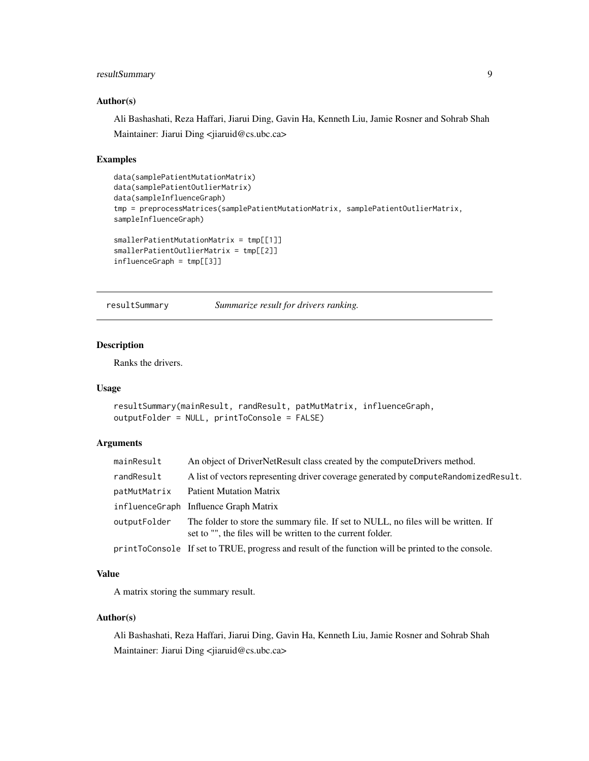# <span id="page-8-0"></span>resultSummary 9

#### Author(s)

Ali Bashashati, Reza Haffari, Jiarui Ding, Gavin Ha, Kenneth Liu, Jamie Rosner and Sohrab Shah Maintainer: Jiarui Ding <jiaruid@cs.ubc.ca>

#### Examples

```
data(samplePatientMutationMatrix)
data(samplePatientOutlierMatrix)
data(sampleInfluenceGraph)
tmp = preprocessMatrices(samplePatientMutationMatrix, samplePatientOutlierMatrix,
sampleInfluenceGraph)
smallerPatientMutationMatrix = tmp[[1]]
smallerPatientOutlierMatrix = tmp[[2]]
influenceGraph = tmp[[3]]
```
resultSummary *Summarize result for drivers ranking.*

#### Description

Ranks the drivers.

#### Usage

```
resultSummary(mainResult, randResult, patMutMatrix, influenceGraph,
outputFolder = NULL, printToConsole = FALSE)
```
#### Arguments

| mainResult   | An object of DriverNetResult class created by the computeDrivers method.                                                                          |
|--------------|---------------------------------------------------------------------------------------------------------------------------------------------------|
| randResult   | A list of vectors representing driver coverage generated by computeRandomizedResult.                                                              |
| patMutMatrix | <b>Patient Mutation Matrix</b>                                                                                                                    |
|              | influenceGraph Influence Graph Matrix                                                                                                             |
| outputFolder | The folder to store the summary file. If set to NULL, no files will be written. If<br>set to "", the files will be written to the current folder. |
|              | print ToConsole If set to TRUE, progress and result of the function will be printed to the console.                                               |

# Value

A matrix storing the summary result.

# Author(s)

Ali Bashashati, Reza Haffari, Jiarui Ding, Gavin Ha, Kenneth Liu, Jamie Rosner and Sohrab Shah Maintainer: Jiarui Ding <jiaruid@cs.ubc.ca>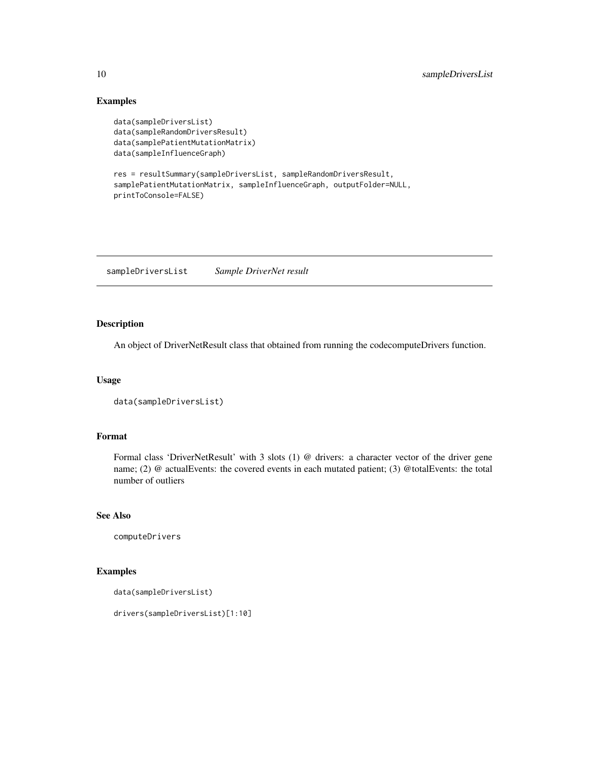# Examples

```
data(sampleDriversList)
data(sampleRandomDriversResult)
data(samplePatientMutationMatrix)
data(sampleInfluenceGraph)
```

```
res = resultSummary(sampleDriversList, sampleRandomDriversResult,
samplePatientMutationMatrix, sampleInfluenceGraph, outputFolder=NULL,
printToConsole=FALSE)
```
sampleDriversList *Sample DriverNet result*

# Description

An object of DriverNetResult class that obtained from running the codecomputeDrivers function.

#### Usage

```
data(sampleDriversList)
```
#### Format

Formal class 'DriverNetResult' with 3 slots (1) @ drivers: a character vector of the driver gene name; (2) @ actualEvents: the covered events in each mutated patient; (3) @totalEvents: the total number of outliers

## See Also

computeDrivers

# Examples

```
data(sampleDriversList)
```
drivers(sampleDriversList)[1:10]

<span id="page-9-0"></span>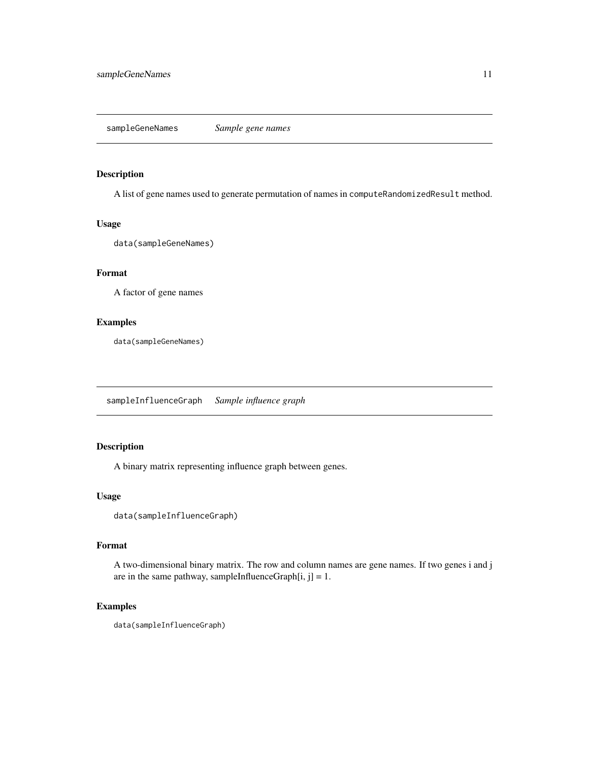# <span id="page-10-0"></span>Description

A list of gene names used to generate permutation of names in computeRandomizedResult method.

#### Usage

```
data(sampleGeneNames)
```
## Format

A factor of gene names

# Examples

data(sampleGeneNames)

sampleInfluenceGraph *Sample influence graph*

# Description

A binary matrix representing influence graph between genes.

# Usage

```
data(sampleInfluenceGraph)
```
#### Format

A two-dimensional binary matrix. The row and column names are gene names. If two genes i and j are in the same pathway, sampleInfluenceGraph $[i, j] = 1$ .

#### Examples

data(sampleInfluenceGraph)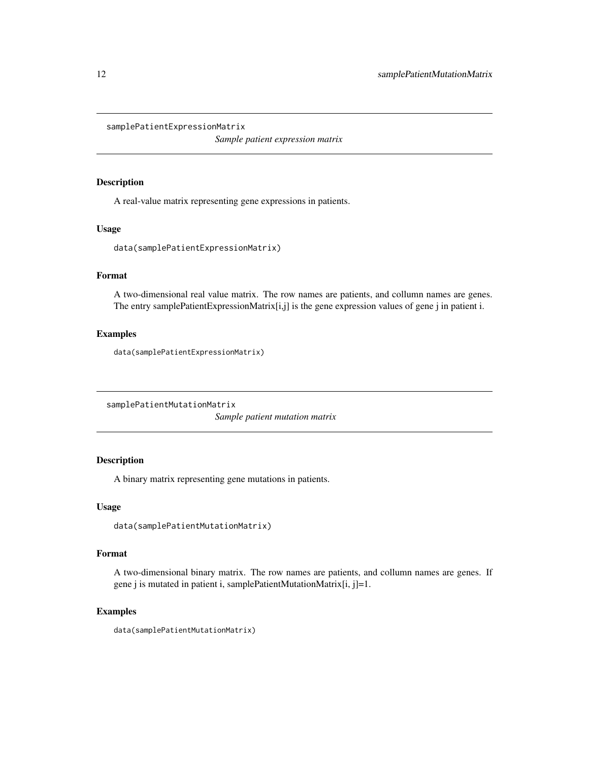<span id="page-11-0"></span>samplePatientExpressionMatrix

*Sample patient expression matrix*

#### Description

A real-value matrix representing gene expressions in patients.

# Usage

```
data(samplePatientExpressionMatrix)
```
# Format

A two-dimensional real value matrix. The row names are patients, and collumn names are genes. The entry samplePatientExpressionMatrix[i,j] is the gene expression values of gene j in patient i.

# Examples

data(samplePatientExpressionMatrix)

samplePatientMutationMatrix

*Sample patient mutation matrix*

# Description

A binary matrix representing gene mutations in patients.

# Usage

```
data(samplePatientMutationMatrix)
```
# Format

A two-dimensional binary matrix. The row names are patients, and collumn names are genes. If gene j is mutated in patient i, samplePatientMutationMatrix[i, j]=1.

#### Examples

data(samplePatientMutationMatrix)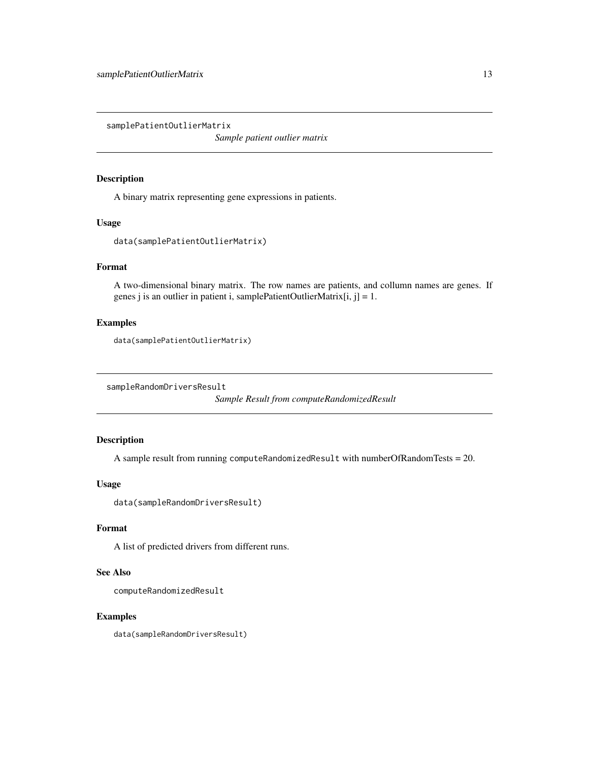<span id="page-12-0"></span>samplePatientOutlierMatrix

*Sample patient outlier matrix*

#### Description

A binary matrix representing gene expressions in patients.

#### Usage

```
data(samplePatientOutlierMatrix)
```
# Format

A two-dimensional binary matrix. The row names are patients, and collumn names are genes. If genes j is an outlier in patient i, samplePatientOutlierMatrix $[i, j] = 1$ .

# Examples

```
data(samplePatientOutlierMatrix)
```
sampleRandomDriversResult

*Sample Result from computeRandomizedResult*

# Description

A sample result from running computeRandomizedResult with numberOfRandomTests = 20.

# Usage

data(sampleRandomDriversResult)

# Format

A list of predicted drivers from different runs.

#### See Also

computeRandomizedResult

#### Examples

data(sampleRandomDriversResult)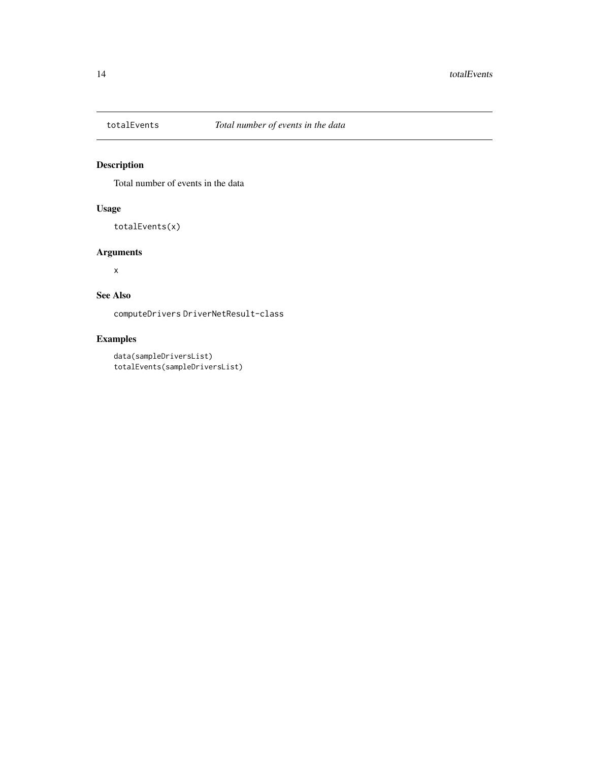<span id="page-13-0"></span>

# Description

Total number of events in the data

# Usage

totalEvents(x)

# Arguments

x

# See Also

computeDrivers DriverNetResult-class

# Examples

```
data(sampleDriversList)
totalEvents(sampleDriversList)
```